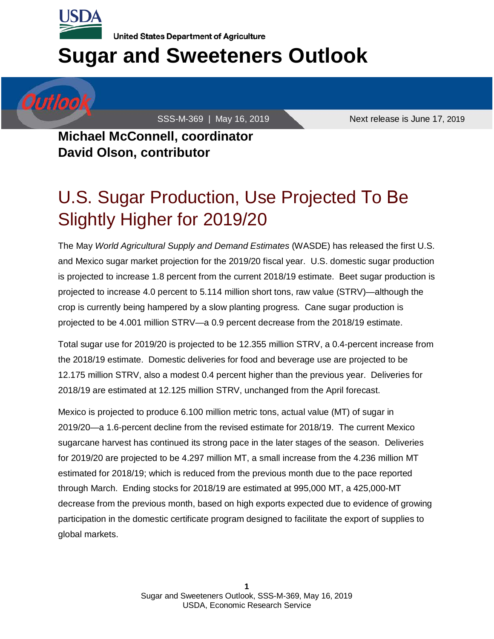

Outloo

**United States Department of Agriculture** 

# **Sugar and Sweeteners Outlook**

SSS-M-369 | May 16, 2019 Next release is June 17, 2019

**Michael McConnell, coordinator David Olson, contributor** 

## U.S. Sugar Production, Use Projected To Be Slightly Higher for 2019/20

The May *World Agricultural Supply and Demand Estimates* (WASDE) has released the first U.S. and Mexico sugar market projection for the 2019/20 fiscal year. U.S. domestic sugar production is projected to increase 1.8 percent from the current 2018/19 estimate. Beet sugar production is projected to increase 4.0 percent to 5.114 million short tons, raw value (STRV)—although the crop is currently being hampered by a slow planting progress. Cane sugar production is projected to be 4.001 million STRV—a 0.9 percent decrease from the 2018/19 estimate.

Total sugar use for 2019/20 is projected to be 12.355 million STRV, a 0.4-percent increase from the 2018/19 estimate. Domestic deliveries for food and beverage use are projected to be 12.175 million STRV, also a modest 0.4 percent higher than the previous year. Deliveries for 2018/19 are estimated at 12.125 million STRV, unchanged from the April forecast.

Mexico is projected to produce 6.100 million metric tons, actual value (MT) of sugar in 2019/20—a 1.6-percent decline from the revised estimate for 2018/19. The current Mexico sugarcane harvest has continued its strong pace in the later stages of the season. Deliveries for 2019/20 are projected to be 4.297 million MT, a small increase from the 4.236 million MT estimated for 2018/19; which is reduced from the previous month due to the pace reported through March. Ending stocks for 2018/19 are estimated at 995,000 MT, a 425,000-MT decrease from the previous month, based on high exports expected due to evidence of growing participation in the domestic certificate program designed to facilitate the export of supplies to global markets.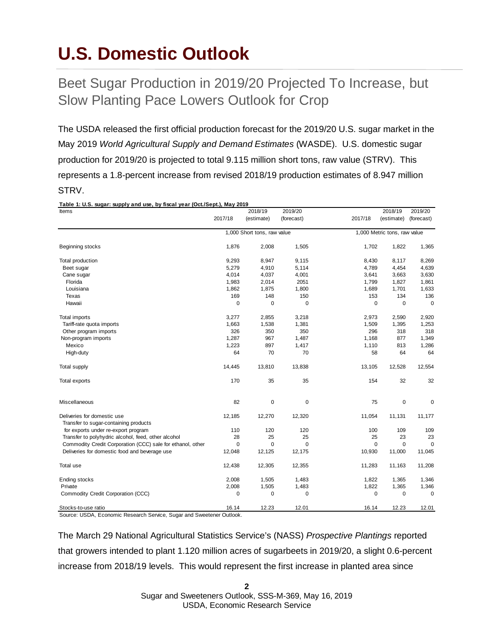## **U.S. Domestic Outlook**

### Beet Sugar Production in 2019/20 Projected To Increase, but Slow Planting Pace Lowers Outlook for Crop

The USDA released the first official production forecast for the 2019/20 U.S. sugar market in the May 2019 *World Agricultural Supply and Demand Estimates* (WASDE). U.S. domestic sugar production for 2019/20 is projected to total 9.115 million short tons, raw value (STRV). This represents a 1.8-percent increase from revised 2018/19 production estimates of 8.947 million STRV.

| Table 1: U.S. sugar: supply and use, by fiscal year (Oct./Sept.), May 2019<br>Items | 2018/19     |                             | 2019/20     |             | 2018/19                      | 2019/20     |
|-------------------------------------------------------------------------------------|-------------|-----------------------------|-------------|-------------|------------------------------|-------------|
|                                                                                     | 2017/18     | (estimate)                  | (forecast)  | 2017/18     | (estimate)                   | (forecast)  |
|                                                                                     |             | 1,000 Short tons, raw value |             |             | 1,000 Metric tons, raw value |             |
| Beginning stocks                                                                    | 1,876       | 2,008                       | 1,505       | 1,702       | 1,822                        | 1,365       |
| Total production                                                                    | 9,293       | 8,947                       | 9,115       | 8,430       | 8,117                        | 8,269       |
| Beet sugar                                                                          | 5,279       | 4,910                       | 5,114       | 4,789       | 4,454                        | 4,639       |
| Cane sugar                                                                          | 4,014       | 4,037                       | 4,001       | 3,641       | 3,663                        | 3,630       |
| Florida                                                                             | 1,983       | 2,014                       | 2051        | 1,799       | 1,827                        | 1,861       |
| Louisiana                                                                           | 1,862       | 1,875                       | 1,800       | 1,689       | 1,701                        | 1,633       |
| Texas                                                                               | 169         | 148                         | 150         | 153         | 134                          | 136         |
| Hawaii                                                                              | $\mathbf 0$ | 0                           | 0           | $\mathbf 0$ | $\mathbf 0$                  | $\mathbf 0$ |
| Total imports                                                                       | 3,277       | 2,855                       | 3,218       | 2,973       | 2,590                        | 2,920       |
| Tariff-rate quota imports                                                           | 1,663       | 1,538                       | 1,381       | 1,509       | 1,395                        | 1,253       |
| Other program imports                                                               | 326         | 350                         | 350         | 296         | 318                          | 318         |
| Non-program imports                                                                 | 1,287       | 967                         | 1,487       | 1,168       | 877                          | 1,349       |
| Mexico                                                                              | 1,223       | 897                         | 1,417       | 1,110       | 813                          | 1,286       |
| High-duty                                                                           | 64          | 70                          | 70          | 58          | 64                           | 64          |
| <b>Total supply</b>                                                                 | 14,445      | 13,810                      | 13,838      | 13,105      | 12,528                       | 12,554      |
| Total exports                                                                       | 170         | 35                          | 35          | 154         | 32                           | 32          |
| Miscellaneous                                                                       | 82          | 0                           | $\mathbf 0$ | 75          | 0                            | 0           |
| Deliveries for domestic use                                                         | 12,185      | 12,270                      | 12,320      | 11,054      | 11,131                       | 11,177      |
| Transfer to sugar-containing products                                               |             |                             |             |             |                              |             |
| for exports under re-export program                                                 | 110         | 120                         | 120         | 100         | 109                          | 109         |
| Transfer to polyhydric alcohol, feed, other alcohol                                 | 28          | 25                          | 25          | 25          | 23                           | 23          |
| Commodity Credit Corporation (CCC) sale for ethanol, other                          | $\mathbf 0$ | $\mathbf 0$                 | $\mathbf 0$ | $\mathbf 0$ | $\mathbf 0$                  | $\Omega$    |
| Deliveries for domestic food and beverage use                                       | 12,048      | 12,125                      | 12,175      | 10,930      | 11,000                       | 11,045      |
| Total use                                                                           | 12,438      | 12,305                      | 12,355      | 11,283      | 11,163                       | 11,208      |
| <b>Ending stocks</b>                                                                | 2,008       | 1,505                       | 1,483       | 1,822       | 1,365                        | 1,346       |
| Private                                                                             | 2,008       | 1,505                       | 1,483       | 1,822       | 1,365                        | 1,346       |
| Commodity Credit Corporation (CCC)                                                  | 0           | 0                           | 0           | 0           | 0                            | $\mathbf 0$ |
| Stocks-to-use ratio                                                                 | 16.14       | 12.23                       | 12.01       | 16.14       | 12.23                        | 12.01       |

Source: USDA, Economic Research Service, Sugar and Sweetener Outlook.

The March 29 National Agricultural Statistics Service's (NASS) *Prospective Plantings* reported that growers intended to plant 1.120 million acres of sugarbeets in 2019/20, a slight 0.6-percent increase from 2018/19 levels. This would represent the first increase in planted area since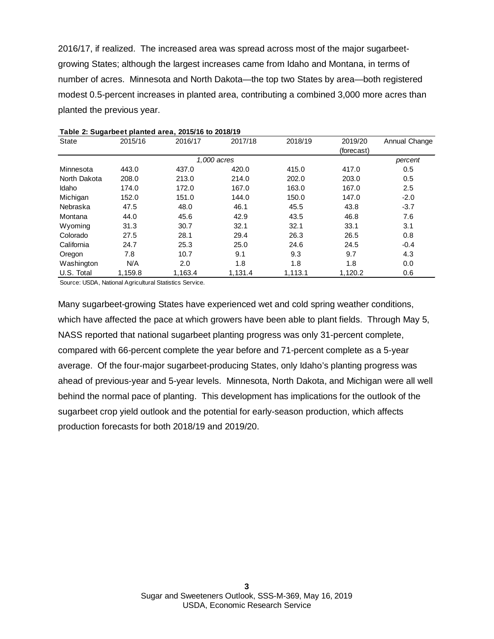2016/17, if realized. The increased area was spread across most of the major sugarbeetgrowing States; although the largest increases came from Idaho and Montana, in terms of number of acres. Minnesota and North Dakota—the top two States by area—both registered modest 0.5-percent increases in planted area, contributing a combined 3,000 more acres than planted the previous year.

|              |         | Table 2. Sugarbeet planted area, 2013/10 to 2010/15 |             |         |            |               |
|--------------|---------|-----------------------------------------------------|-------------|---------|------------|---------------|
| <b>State</b> | 2015/16 | 2016/17                                             | 2017/18     | 2018/19 | 2019/20    | Annual Change |
|              |         |                                                     |             |         | (forecast) |               |
|              |         |                                                     | 1,000 acres |         |            | percent       |
| Minnesota    | 443.0   | 437.0                                               | 420.0       | 415.0   | 417.0      | 0.5           |
| North Dakota | 208.0   | 213.0                                               | 214.0       | 202.0   | 203.0      | 0.5           |
| Idaho        | 174.0   | 172.0                                               | 167.0       | 163.0   | 167.0      | 2.5           |
| Michigan     | 152.0   | 151.0                                               | 144.0       | 150.0   | 147.0      | $-2.0$        |
| Nebraska     | 47.5    | 48.0                                                | 46.1        | 45.5    | 43.8       | $-3.7$        |
| Montana      | 44.0    | 45.6                                                | 42.9        | 43.5    | 46.8       | 7.6           |
| Wyoming      | 31.3    | 30.7                                                | 32.1        | 32.1    | 33.1       | 3.1           |
| Colorado     | 27.5    | 28.1                                                | 29.4        | 26.3    | 26.5       | 0.8           |
| California   | 24.7    | 25.3                                                | 25.0        | 24.6    | 24.5       | $-0.4$        |
| Oregon       | 7.8     | 10.7                                                | 9.1         | 9.3     | 9.7        | 4.3           |
| Washington   | N/A     | 2.0                                                 | 1.8         | 1.8     | 1.8        | 0.0           |
| U.S. Total   | 1,159.8 | 1,163.4                                             | 1,131.4     | 1,113.1 | 1,120.2    | 0.6           |
|              |         |                                                     |             |         |            |               |

| Table 2: Sugarbeet planted area, 2015/16 to 2018/19 |  |
|-----------------------------------------------------|--|
|-----------------------------------------------------|--|

Source: USDA, National Agricultural Statistics Service.

Many sugarbeet-growing States have experienced wet and cold spring weather conditions, which have affected the pace at which growers have been able to plant fields. Through May 5, NASS reported that national sugarbeet planting progress was only 31-percent complete, compared with 66-percent complete the year before and 71-percent complete as a 5-year average. Of the four-major sugarbeet-producing States, only Idaho's planting progress was ahead of previous-year and 5-year levels. Minnesota, North Dakota, and Michigan were all well behind the normal pace of planting. This development has implications for the outlook of the sugarbeet crop yield outlook and the potential for early-season production, which affects production forecasts for both 2018/19 and 2019/20.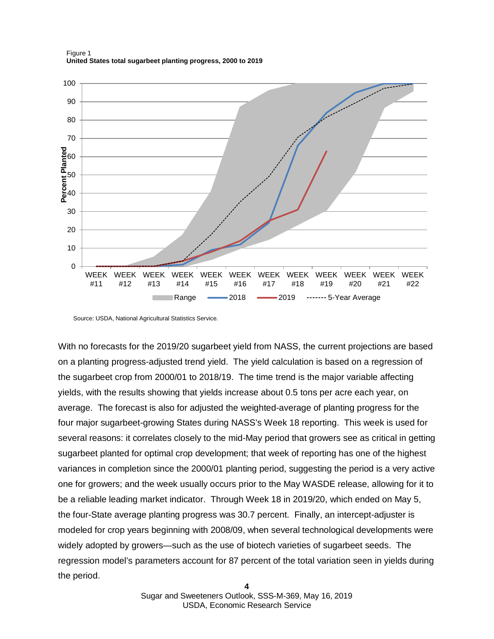Figure 1 **United States total sugarbeet planting progress, 2000 to 2019**



Source: USDA, National Agricultural Statistics Service.

With no forecasts for the 2019/20 sugarbeet yield from NASS, the current projections are based on a planting progress-adjusted trend yield. The yield calculation is based on a regression of the sugarbeet crop from 2000/01 to 2018/19. The time trend is the major variable affecting yields, with the results showing that yields increase about 0.5 tons per acre each year, on average. The forecast is also for adjusted the weighted-average of planting progress for the four major sugarbeet-growing States during NASS's Week 18 reporting. This week is used for several reasons: it correlates closely to the mid-May period that growers see as critical in getting sugarbeet planted for optimal crop development; that week of reporting has one of the highest variances in completion since the 2000/01 planting period, suggesting the period is a very active one for growers; and the week usually occurs prior to the May WASDE release, allowing for it to be a reliable leading market indicator. Through Week 18 in 2019/20, which ended on May 5, the four-State average planting progress was 30.7 percent. Finally, an intercept-adjuster is modeled for crop years beginning with 2008/09, when several technological developments were widely adopted by growers—such as the use of biotech varieties of sugarbeet seeds. The regression model's parameters account for 87 percent of the total variation seen in yields during the period.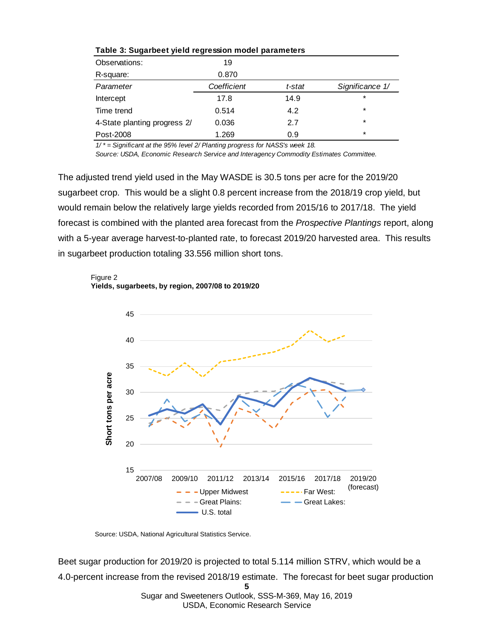| Table 5. Sugarbeet yield regression model parameters |             |        |                 |  |  |
|------------------------------------------------------|-------------|--------|-----------------|--|--|
| Observations:                                        | 19          |        |                 |  |  |
| R-square:                                            | 0.870       |        |                 |  |  |
| Parameter                                            | Coefficient | t-stat | Significance 1/ |  |  |
| Intercept                                            | 17.8        | 14.9   | $\ast$          |  |  |
| Time trend                                           | 0.514       | 4.2    | $\ast$          |  |  |
| 4-State planting progress 2/                         | 0.036       | 2.7    | $\ast$          |  |  |
| Post-2008                                            | 1.269       | 0.9    | $\ast$          |  |  |

### **Table 3: Sugarbeet yield regression model parameters**

*1/ \* = Significant at the 95% level 2/ Planting progress for NASS's week 18.*

*Source: USDA, Economic Research Service and Interagency Commodity Estimates Committee.*

The adjusted trend yield used in the May WASDE is 30.5 tons per acre for the 2019/20 sugarbeet crop. This would be a slight 0.8 percent increase from the 2018/19 crop yield, but would remain below the relatively large yields recorded from 2015/16 to 2017/18. The yield forecast is combined with the planted area forecast from the *Prospective Plantings* report, along with a 5-year average harvest-to-planted rate, to forecast 2019/20 harvested area. This results in sugarbeet production totaling 33.556 million short tons.





Source: USDA, National Agricultural Statistics Service.

**5**  Sugar and Sweeteners Outlook, SSS-M-369, May 16, 2019 Beet sugar production for 2019/20 is projected to total 5.114 million STRV, which would be a 4.0-percent increase from the revised 2018/19 estimate. The forecast for beet sugar production

USDA, Economic Research Service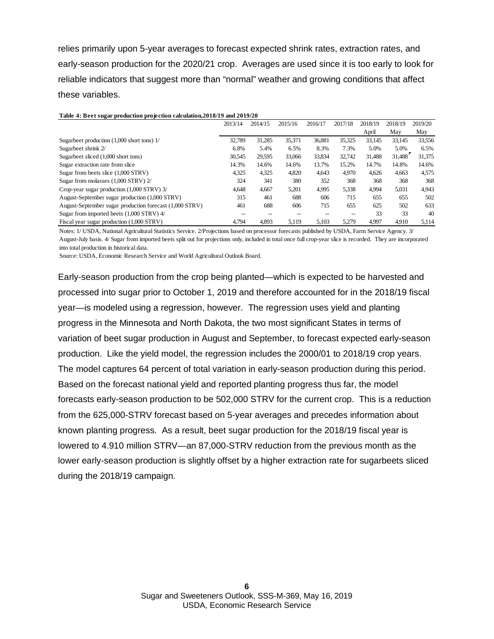relies primarily upon 5-year averages to forecast expected shrink rates, extraction rates, and early-season production for the 2020/21 crop. Averages are used since it is too early to look for reliable indicators that suggest more than "normal" weather and growing conditions that affect these variables.

| Table 4: Beet sugar production projection calculation, 2018/19 and 2019/20 |         |         |         |         |         |         |         |         |
|----------------------------------------------------------------------------|---------|---------|---------|---------|---------|---------|---------|---------|
|                                                                            | 2013/14 | 2014/15 | 2015/16 | 2016/17 | 2017/18 | 2018/19 | 2018/19 | 2019/20 |
|                                                                            |         |         |         |         |         | April   | May     | May     |
| Sugarbeet production $(1,000$ short tons) $1/$                             | 32,789  | 31.285  | 35,371  | 36,881  | 35,325  | 33,145  | 33,145  | 33,556  |
| Sugarbeet shrink 2/                                                        | 6.8%    | 5.4%    | 6.5%    | 8.3%    | 7.3%    | 5.0%    | 5.0%    | 6.5%    |
| Sugarbeet sliced (1,000 short tons)                                        | 30,545  | 29.595  | 33,066  | 33.834  | 32.742  | 31.488  | 31,488  | 31,375  |
| Sugar extraction rate from slice                                           | 14.3%   | 14.6%   | 14.6%   | 13.7%   | 15.2%   | 14.7%   | 14.8%   | 14.6%   |
| Sugar from beets slice (1,000 STRV)                                        | 4,325   | 4,325   | 4,820   | 4,643   | 4.970   | 4.626   | 4,663   | 4,575   |
| Sugar from molasses (1,000 STRV) 2/                                        | 324     | 341     | 380     | 352     | 368     | 368     | 368     | 368     |
| Crop-year sugar production (1,000 STRV) 3/                                 | 4,648   | 4,667   | 5.201   | 4,995   | 5,338   | 4,994   | 5,031   | 4,943   |
| August-September sugar production (1,000 STRV)                             | 315     | 461     | 688     | 606     | 715     | 655     | 655     | 502     |
| August-September sugar production forecast (1,000 STRV)                    | 461     | 688     | 606     | 715     | 655     | 625     | 502     | 633     |
| Sugar from imported beets (1,000 STRV) 4/                                  | --      |         |         | $-$     | $-$     | 33      | 33      | 40      |
| Fiscal year sugar production (1,000 STRV)                                  | 4.794   | 4,893   | 5,119   | 5,103   | 5.279   | 4.997   | 4.910   | 5,114   |

Notes: 1/ USDA, National Agricultural Statistics Service. 2/Projections based on processor forecasts published by USDA, Farm Service Agency. 3/ August-July basis. 4/ Sugar from imported beets split out for projections only, included in total once full crop-year slice is recorded. They are incorporated into total production in historical data.

Source: USDA, Economic Research Service and World Agricultural Outlook Board.

Early-season production from the crop being planted—which is expected to be harvested and processed into sugar prior to October 1, 2019 and therefore accounted for in the 2018/19 fiscal year—is modeled using a regression, however. The regression uses yield and planting progress in the Minnesota and North Dakota, the two most significant States in terms of variation of beet sugar production in August and September, to forecast expected early-season production. Like the yield model, the regression includes the 2000/01 to 2018/19 crop years. The model captures 64 percent of total variation in early-season production during this period. Based on the forecast national yield and reported planting progress thus far, the model forecasts early-season production to be 502,000 STRV for the current crop. This is a reduction from the 625,000-STRV forecast based on 5-year averages and precedes information about known planting progress. As a result, beet sugar production for the 2018/19 fiscal year is lowered to 4.910 million STRV—an 87,000-STRV reduction from the previous month as the lower early-season production is slightly offset by a higher extraction rate for sugarbeets sliced during the 2018/19 campaign.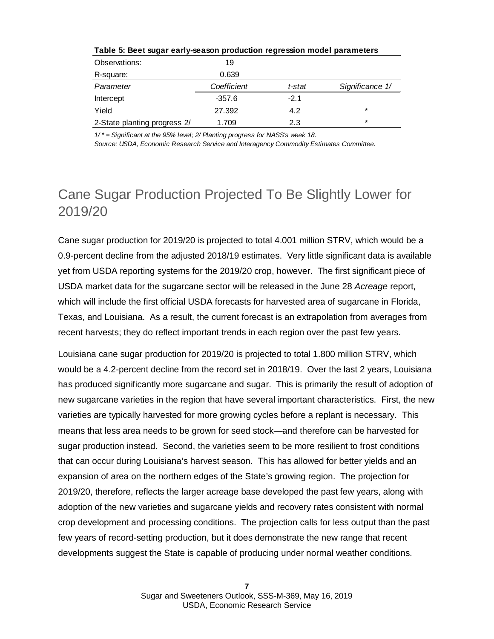| Observations:                | 19          |        |                 |
|------------------------------|-------------|--------|-----------------|
| R-square:                    | 0.639       |        |                 |
| Parameter                    | Coefficient | t-stat | Significance 1/ |
| Intercept                    | $-357.6$    | $-2.1$ |                 |
| Yield                        | 27.392      | 4.2    | $\star$         |
| 2-State planting progress 2/ | 1.709       | 2.3    | $\star$         |

**Table 5: Beet sugar early-season production regression model parameters**

*1/ \* = Significant at the 95% level; 2/ Planting progress for NASS's week 18.*

*Source: USDA, Economic Research Service and Interagency Commodity Estimates Committee.*

### Cane Sugar Production Projected To Be Slightly Lower for 2019/20

Cane sugar production for 2019/20 is projected to total 4.001 million STRV, which would be a 0.9-percent decline from the adjusted 2018/19 estimates. Very little significant data is available yet from USDA reporting systems for the 2019/20 crop, however. The first significant piece of USDA market data for the sugarcane sector will be released in the June 28 *Acreage* report, which will include the first official USDA forecasts for harvested area of sugarcane in Florida, Texas, and Louisiana. As a result, the current forecast is an extrapolation from averages from recent harvests; they do reflect important trends in each region over the past few years.

Louisiana cane sugar production for 2019/20 is projected to total 1.800 million STRV, which would be a 4.2-percent decline from the record set in 2018/19. Over the last 2 years, Louisiana has produced significantly more sugarcane and sugar. This is primarily the result of adoption of new sugarcane varieties in the region that have several important characteristics. First, the new varieties are typically harvested for more growing cycles before a replant is necessary. This means that less area needs to be grown for seed stock—and therefore can be harvested for sugar production instead. Second, the varieties seem to be more resilient to frost conditions that can occur during Louisiana's harvest season. This has allowed for better yields and an expansion of area on the northern edges of the State's growing region. The projection for 2019/20, therefore, reflects the larger acreage base developed the past few years, along with adoption of the new varieties and sugarcane yields and recovery rates consistent with normal crop development and processing conditions. The projection calls for less output than the past few years of record-setting production, but it does demonstrate the new range that recent developments suggest the State is capable of producing under normal weather conditions.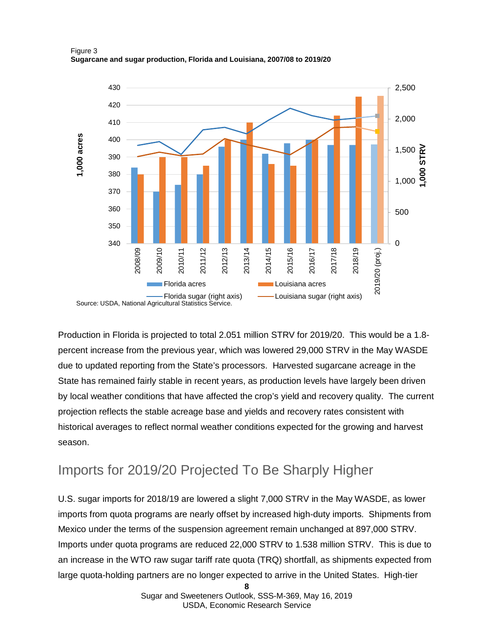Figure 3 **Sugarcane and sugar production, Florida and Louisiana, 2007/08 to 2019/20**



Production in Florida is projected to total 2.051 million STRV for 2019/20. This would be a 1.8 percent increase from the previous year, which was lowered 29,000 STRV in the May WASDE due to updated reporting from the State's processors. Harvested sugarcane acreage in the State has remained fairly stable in recent years, as production levels have largely been driven by local weather conditions that have affected the crop's yield and recovery quality. The current projection reflects the stable acreage base and yields and recovery rates consistent with historical averages to reflect normal weather conditions expected for the growing and harvest season.

### Imports for 2019/20 Projected To Be Sharply Higher

U.S. sugar imports for 2018/19 are lowered a slight 7,000 STRV in the May WASDE, as lower imports from quota programs are nearly offset by increased high-duty imports. Shipments from Mexico under the terms of the suspension agreement remain unchanged at 897,000 STRV. Imports under quota programs are reduced 22,000 STRV to 1.538 million STRV. This is due to an increase in the WTO raw sugar tariff rate quota (TRQ) shortfall, as shipments expected from large quota-holding partners are no longer expected to arrive in the United States. High-tier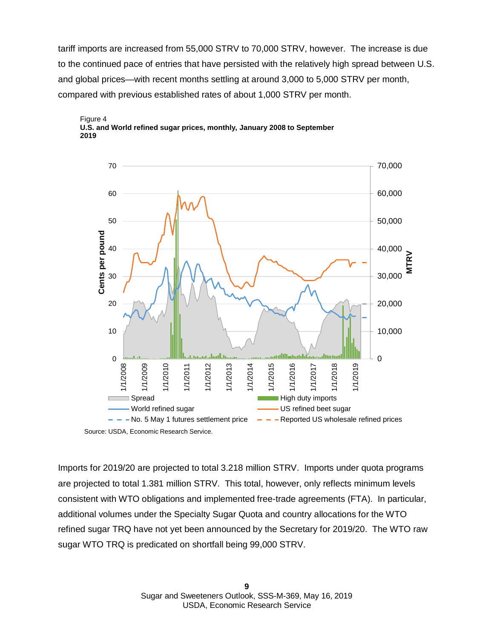tariff imports are increased from 55,000 STRV to 70,000 STRV, however. The increase is due to the continued pace of entries that have persisted with the relatively high spread between U.S. and global prices—with recent months settling at around 3,000 to 5,000 STRV per month, compared with previous established rates of about 1,000 STRV per month.





Imports for 2019/20 are projected to total 3.218 million STRV. Imports under quota programs are projected to total 1.381 million STRV. This total, however, only reflects minimum levels consistent with WTO obligations and implemented free-trade agreements (FTA). In particular, additional volumes under the Specialty Sugar Quota and country allocations for the WTO refined sugar TRQ have not yet been announced by the Secretary for 2019/20. The WTO raw sugar WTO TRQ is predicated on shortfall being 99,000 STRV.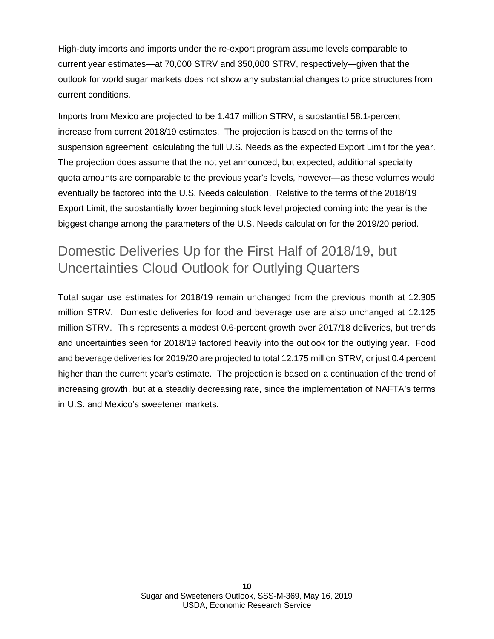High-duty imports and imports under the re-export program assume levels comparable to current year estimates—at 70,000 STRV and 350,000 STRV, respectively—given that the outlook for world sugar markets does not show any substantial changes to price structures from current conditions.

Imports from Mexico are projected to be 1.417 million STRV, a substantial 58.1-percent increase from current 2018/19 estimates. The projection is based on the terms of the suspension agreement, calculating the full U.S. Needs as the expected Export Limit for the year. The projection does assume that the not yet announced, but expected, additional specialty quota amounts are comparable to the previous year's levels, however—as these volumes would eventually be factored into the U.S. Needs calculation. Relative to the terms of the 2018/19 Export Limit, the substantially lower beginning stock level projected coming into the year is the biggest change among the parameters of the U.S. Needs calculation for the 2019/20 period.

### Domestic Deliveries Up for the First Half of 2018/19, but Uncertainties Cloud Outlook for Outlying Quarters

Total sugar use estimates for 2018/19 remain unchanged from the previous month at 12.305 million STRV. Domestic deliveries for food and beverage use are also unchanged at 12.125 million STRV. This represents a modest 0.6-percent growth over 2017/18 deliveries, but trends and uncertainties seen for 2018/19 factored heavily into the outlook for the outlying year. Food and beverage deliveries for 2019/20 are projected to total 12.175 million STRV, or just 0.4 percent higher than the current year's estimate. The projection is based on a continuation of the trend of increasing growth, but at a steadily decreasing rate, since the implementation of NAFTA's terms in U.S. and Mexico's sweetener markets.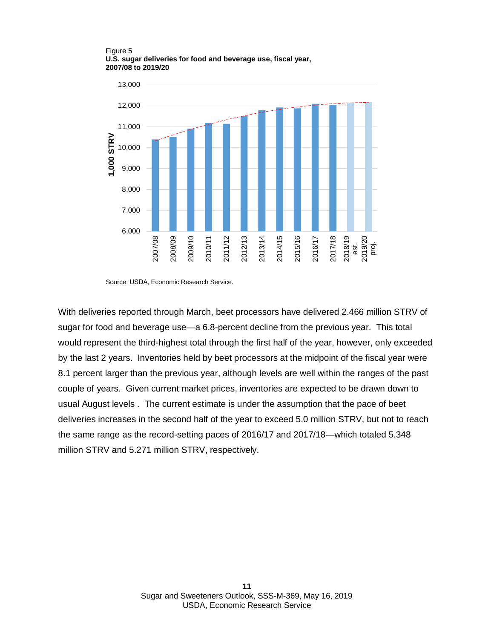Figure 5 **U.S. sugar deliveries for food and beverage use, fiscal year, 2007/08 to 2019/20**



Source: USDA, Economic Research Service.

With deliveries reported through March, beet processors have delivered 2.466 million STRV of sugar for food and beverage use—a 6.8-percent decline from the previous year. This total would represent the third-highest total through the first half of the year, however, only exceeded by the last 2 years. Inventories held by beet processors at the midpoint of the fiscal year were 8.1 percent larger than the previous year, although levels are well within the ranges of the past couple of years. Given current market prices, inventories are expected to be drawn down to usual August levels . The current estimate is under the assumption that the pace of beet deliveries increases in the second half of the year to exceed 5.0 million STRV, but not to reach the same range as the record-setting paces of 2016/17 and 2017/18—which totaled 5.348 million STRV and 5.271 million STRV, respectively.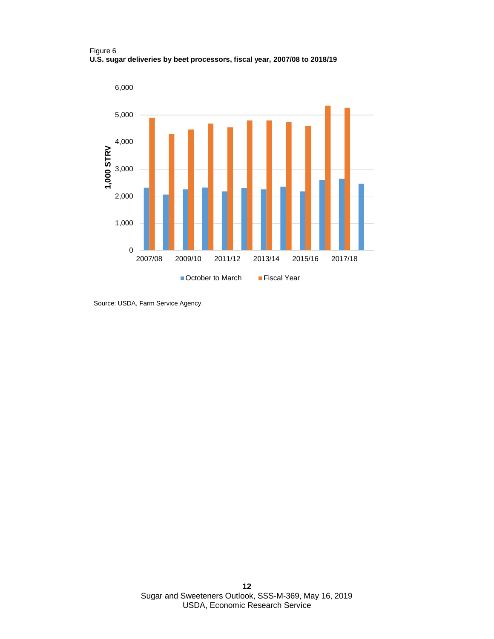Figure 6 **U.S. sugar deliveries by beet processors, fiscal year, 2007/08 to 2018/19**



Source: USDA, Farm Service Agency.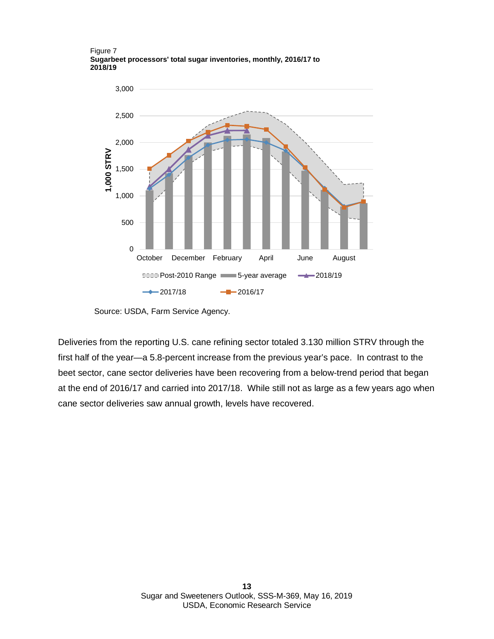Figure 7 **Sugarbeet processors' total sugar inventories, monthly, 2016/17 to 2018/19**



Source: USDA, Farm Service Agency.

Deliveries from the reporting U.S. cane refining sector totaled 3.130 million STRV through the first half of the year—a 5.8-percent increase from the previous year's pace. In contrast to the beet sector, cane sector deliveries have been recovering from a below-trend period that began at the end of 2016/17 and carried into 2017/18. While still not as large as a few years ago when cane sector deliveries saw annual growth, levels have recovered.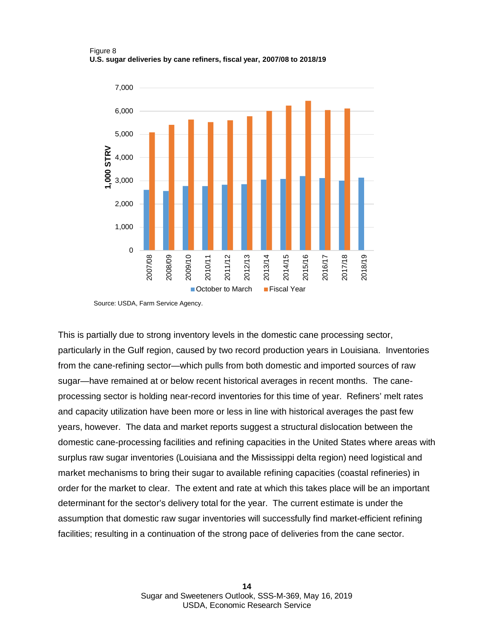#### Figure 8 **U.S. sugar deliveries by cane refiners, fiscal year, 2007/08 to 2018/19**



Source: USDA, Farm Service Agency.

This is partially due to strong inventory levels in the domestic cane processing sector, particularly in the Gulf region, caused by two record production years in Louisiana. Inventories from the cane-refining sector—which pulls from both domestic and imported sources of raw sugar—have remained at or below recent historical averages in recent months. The caneprocessing sector is holding near-record inventories for this time of year. Refiners' melt rates and capacity utilization have been more or less in line with historical averages the past few years, however. The data and market reports suggest a structural dislocation between the domestic cane-processing facilities and refining capacities in the United States where areas with surplus raw sugar inventories (Louisiana and the Mississippi delta region) need logistical and market mechanisms to bring their sugar to available refining capacities (coastal refineries) in order for the market to clear. The extent and rate at which this takes place will be an important determinant for the sector's delivery total for the year. The current estimate is under the assumption that domestic raw sugar inventories will successfully find market-efficient refining facilities; resulting in a continuation of the strong pace of deliveries from the cane sector.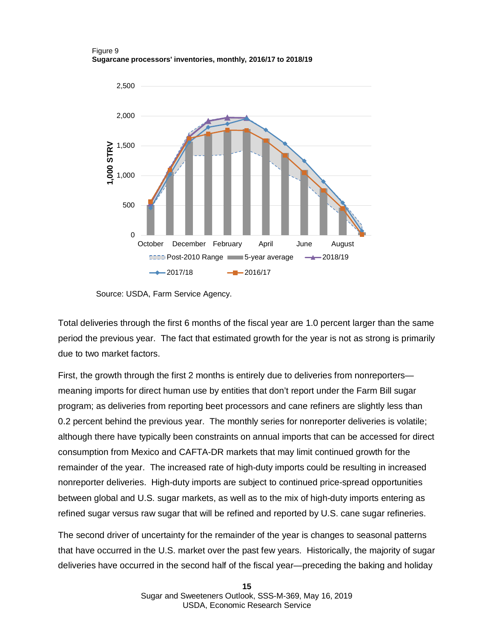#### Figure 9 **Sugarcane processors' inventories, monthly, 2016/17 to 2018/19**



Source: USDA, Farm Service Agency.

Total deliveries through the first 6 months of the fiscal year are 1.0 percent larger than the same period the previous year. The fact that estimated growth for the year is not as strong is primarily due to two market factors.

First, the growth through the first 2 months is entirely due to deliveries from nonreporters meaning imports for direct human use by entities that don't report under the Farm Bill sugar program; as deliveries from reporting beet processors and cane refiners are slightly less than 0.2 percent behind the previous year. The monthly series for nonreporter deliveries is volatile; although there have typically been constraints on annual imports that can be accessed for direct consumption from Mexico and CAFTA-DR markets that may limit continued growth for the remainder of the year. The increased rate of high-duty imports could be resulting in increased nonreporter deliveries. High-duty imports are subject to continued price-spread opportunities between global and U.S. sugar markets, as well as to the mix of high-duty imports entering as refined sugar versus raw sugar that will be refined and reported by U.S. cane sugar refineries.

The second driver of uncertainty for the remainder of the year is changes to seasonal patterns that have occurred in the U.S. market over the past few years. Historically, the majority of sugar deliveries have occurred in the second half of the fiscal year—preceding the baking and holiday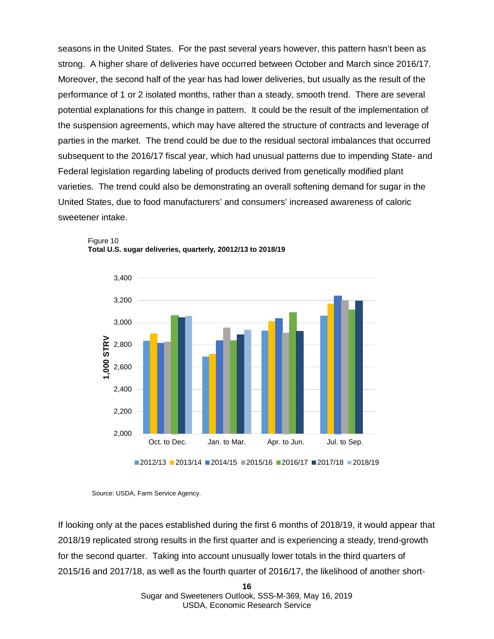seasons in the United States. For the past several years however, this pattern hasn't been as strong. A higher share of deliveries have occurred between October and March since 2016/17. Moreover, the second half of the year has had lower deliveries, but usually as the result of the performance of 1 or 2 isolated months, rather than a steady, smooth trend. There are several potential explanations for this change in pattern. It could be the result of the implementation of the suspension agreements, which may have altered the structure of contracts and leverage of parties in the market. The trend could be due to the residual sectoral imbalances that occurred subsequent to the 2016/17 fiscal year, which had unusual patterns due to impending State- and Federal legislation regarding labeling of products derived from genetically modified plant varieties. The trend could also be demonstrating an overall softening demand for sugar in the United States, due to food manufacturers' and consumers' increased awareness of caloric sweetener intake.





If looking only at the paces established during the first 6 months of 2018/19, it would appear that 2018/19 replicated strong results in the first quarter and is experiencing a steady, trend-growth for the second quarter. Taking into account unusually lower totals in the third quarters of 2015/16 and 2017/18, as well as the fourth quarter of 2016/17, the likelihood of another short-

Source: USDA, Farm Service Agency.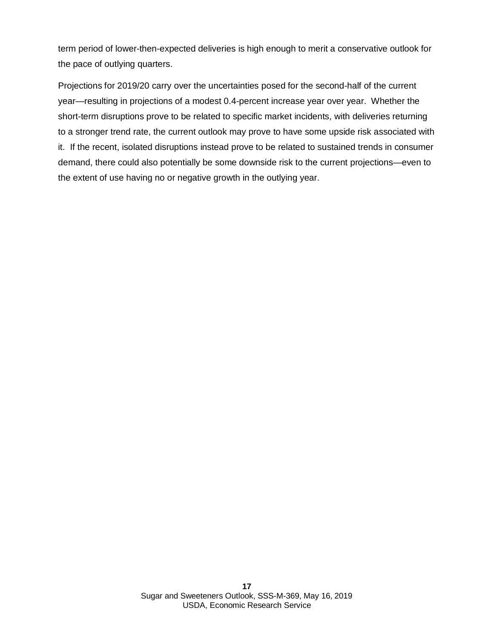term period of lower-then-expected deliveries is high enough to merit a conservative outlook for the pace of outlying quarters.

Projections for 2019/20 carry over the uncertainties posed for the second-half of the current year—resulting in projections of a modest 0.4-percent increase year over year. Whether the short-term disruptions prove to be related to specific market incidents, with deliveries returning to a stronger trend rate, the current outlook may prove to have some upside risk associated with it. If the recent, isolated disruptions instead prove to be related to sustained trends in consumer demand, there could also potentially be some downside risk to the current projections—even to the extent of use having no or negative growth in the outlying year.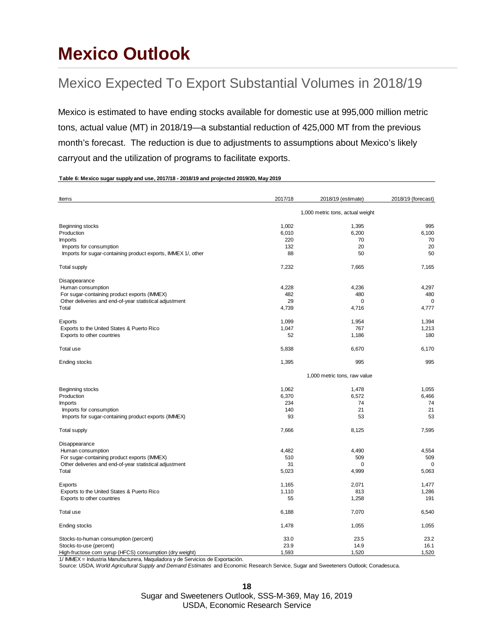## **Mexico Outlook**

## Mexico Expected To Export Substantial Volumes in 2018/19

Mexico is estimated to have ending stocks available for domestic use at 995,000 million metric tons, actual value (MT) in 2018/19—a substantial reduction of 425,000 MT from the previous month's forecast. The reduction is due to adjustments to assumptions about Mexico's likely carryout and the utilization of programs to facilitate exports.

#### **Table 6: Mexico sugar supply and use, 2017/18 - 2018/19 and projected 2019/20, May 2019**

| Items                                                         | 2017/18                          | 2018/19 (estimate)           | 2018/19 (forecast) |
|---------------------------------------------------------------|----------------------------------|------------------------------|--------------------|
|                                                               | 1,000 metric tons, actual weight |                              |                    |
| Beginning stocks                                              | 1,002                            | 1,395                        | 995                |
| Production                                                    | 6,010                            | 6,200                        | 6,100              |
| Imports                                                       | 220                              | 70                           | 70                 |
| Imports for consumption                                       | 132                              | 20                           | 20                 |
| Imports for sugar-containing product exports, IMMEX 1/, other | 88                               | 50                           | 50                 |
| <b>Total supply</b>                                           | 7,232                            | 7,665                        | 7,165              |
| Disappearance                                                 |                                  |                              |                    |
| Human consumption                                             | 4,228                            | 4,236                        | 4,297              |
| For sugar-containing product exports (IMMEX)                  | 482                              | 480                          | 480                |
| Other deliveries and end-of-year statistical adjustment       | 29                               | 0                            | $\mathbf 0$        |
| Total                                                         | 4,739                            | 4,716                        | 4,777              |
| Exports                                                       | 1,099                            | 1,954                        | 1,394              |
| Exports to the United States & Puerto Rico                    | 1,047                            | 767                          | 1,213              |
| Exports to other countries                                    | 52                               | 1,186                        | 180                |
| Total use                                                     | 5,838                            | 6,670                        | 6,170              |
| Ending stocks                                                 | 1,395                            | 995                          | 995                |
|                                                               |                                  | 1,000 metric tons, raw value |                    |
| Beginning stocks                                              | 1,062                            | 1,478                        | 1,055              |
| Production                                                    | 6,370                            | 6,572                        | 6,466              |
| Imports                                                       | 234                              | 74                           | 74                 |
| Imports for consumption                                       | 140                              | 21                           | 21                 |
| Imports for sugar-containing product exports (IMMEX)          | 93                               | 53                           | 53                 |
| <b>Total supply</b>                                           | 7,666                            | 8,125                        | 7,595              |
| Disappearance                                                 |                                  |                              |                    |
| Human consumption                                             | 4,482                            | 4,490                        | 4,554              |
| For sugar-containing product exports (IMMEX)                  | 510                              | 509                          | 509                |
| Other deliveries and end-of-year statistical adjustment       | 31                               | $\Omega$                     | $\Omega$           |
| Total                                                         | 5,023                            | 4,999                        | 5,063              |
| Exports                                                       | 1,165                            | 2,071                        | 1,477              |
| Exports to the United States & Puerto Rico                    | 1,110                            | 813                          | 1,286              |
| Exports to other countries                                    | 55                               | 1,258                        | 191                |
| Total use                                                     | 6,188                            | 7,070                        | 6,540              |
| <b>Ending stocks</b>                                          | 1,478                            | 1,055                        | 1,055              |
| Stocks-to-human consumption (percent)                         | 33.0                             | 23.5                         | 23.2               |
| Stocks-to-use (percent)                                       | 23.9                             | 14.9                         | 16.1               |
| High-fructose corn syrup (HFCS) consumption (dry weight)      | 1,593                            | 1,520                        | 1,520              |

1/ IMMEX = Industria Manufacturera, Maquiladora y de Servicios de Exportación.

Source: USDA, *World Agricultural Supply and Demand Estimates* and Economic Research Service, Sugar and Sweeteners Outlook; Conadesuca.

**18**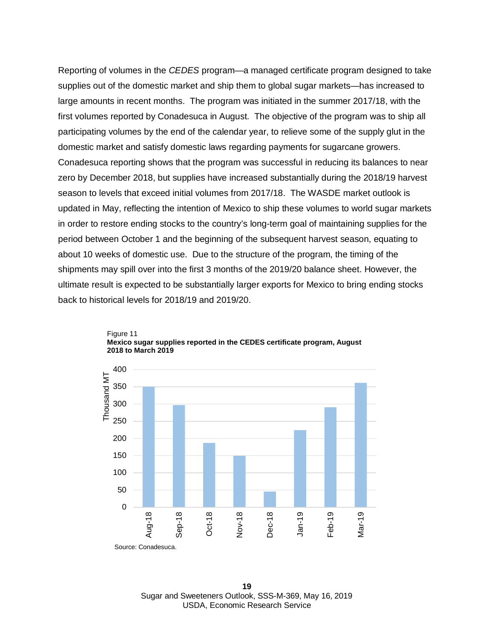Reporting of volumes in the *CEDES* program—a managed certificate program designed to take supplies out of the domestic market and ship them to global sugar markets—has increased to large amounts in recent months. The program was initiated in the summer 2017/18, with the first volumes reported by Conadesuca in August. The objective of the program was to ship all participating volumes by the end of the calendar year, to relieve some of the supply glut in the domestic market and satisfy domestic laws regarding payments for sugarcane growers. Conadesuca reporting shows that the program was successful in reducing its balances to near zero by December 2018, but supplies have increased substantially during the 2018/19 harvest season to levels that exceed initial volumes from 2017/18. The WASDE market outlook is updated in May, reflecting the intention of Mexico to ship these volumes to world sugar markets in order to restore ending stocks to the country's long-term goal of maintaining supplies for the period between October 1 and the beginning of the subsequent harvest season, equating to about 10 weeks of domestic use. Due to the structure of the program, the timing of the shipments may spill over into the first 3 months of the 2019/20 balance sheet. However, the ultimate result is expected to be substantially larger exports for Mexico to bring ending stocks back to historical levels for 2018/19 and 2019/20.



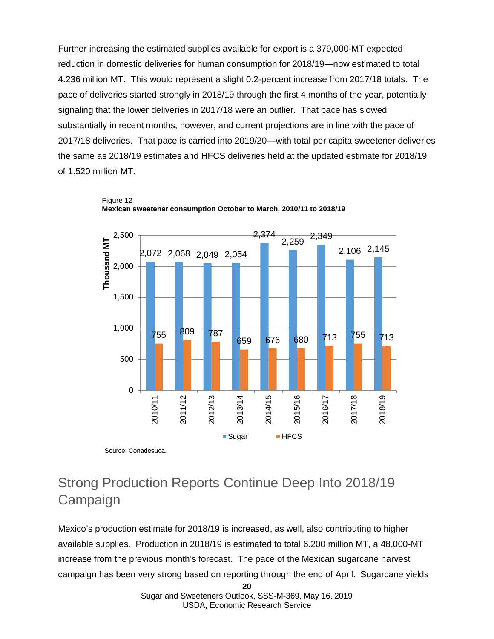Further increasing the estimated supplies available for export is a 379,000-MT expected reduction in domestic deliveries for human consumption for 2018/19—now estimated to total 4.236 million MT. This would represent a slight 0.2-percent increase from 2017/18 totals. The pace of deliveries started strongly in 2018/19 through the first 4 months of the year, potentially signaling that the lower deliveries in 2017/18 were an outlier. That pace has slowed substantially in recent months, however, and current projections are in line with the pace of 2017/18 deliveries. That pace is carried into 2019/20—with total per capita sweetener deliveries the same as 2018/19 estimates and HFCS deliveries held at the updated estimate for 2018/19 of 1.520 million MT.



Figure 12 **Mexican sweetener consumption October to March, 2010/11 to 2018/19**

Source: Conadesuca.

### Strong Production Reports Continue Deep Into 2018/19 Campaign

Mexico's production estimate for 2018/19 is increased, as well, also contributing to higher available supplies. Production in 2018/19 is estimated to total 6.200 million MT, a 48,000-MT increase from the previous month's forecast. The pace of the Mexican sugarcane harvest campaign has been very strong based on reporting through the end of April. Sugarcane yields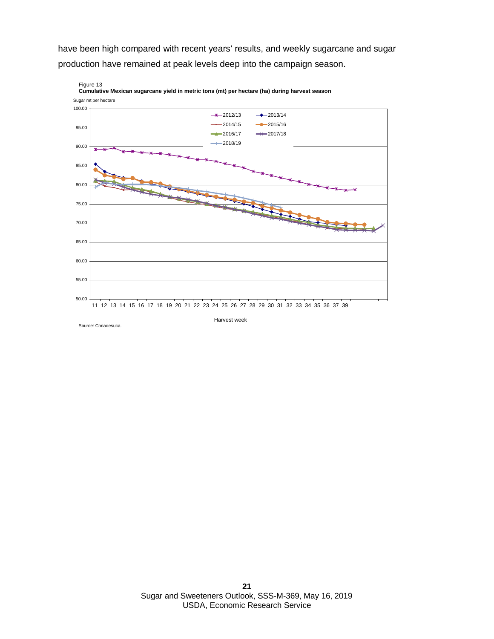have been high compared with recent years' results, and weekly sugarcane and sugar production have remained at peak levels deep into the campaign season.



Source: Conadesuca.

Harvest week